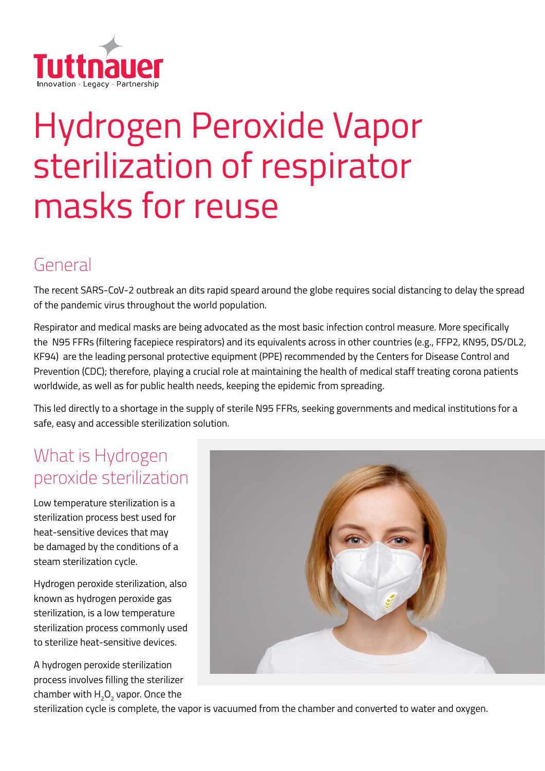

# Hydrogen Peroxide Vapor sterilization of respirator masks for reuse

#### General

The recent SARS-CoV-2 outbreak an dits rapid speard around the globe requires social distancing to delay the spread of the pandemic virus throughout the world population.

Respirator and medical masks are being advocated as the most basic infection control measure. More specifically the N95 FFRs (filtering facepiece respirators) and its equivalents across in other countries (e.g., FFP2, KN95, DS/DL2, KF94) are the leading personal protective equipment (PPE) recommended by the Centers for Disease Control and Prevention (CDC); therefore, playing a crucial role at maintaining the health of medical staff treating corona patients worldwide, as well as for public health needs, keeping the epidemic from spreading.

This led directly to a shortage in the supply of sterile N95 FFRs, seeking governments and medical institutions for a safe, easy and accessible sterilization solution.

# What is Hydrogen peroxide sterilization

Low temperature sterilization is a sterilization process best used for heat-sensitive devices that may be damaged by the conditions of a steam sterilization cycle.

Hydrogen peroxide sterilization, also known as hydrogen peroxide gas sterilization, is a low temperature sterilization process commonly used to sterilize heat-sensitive devices.

A hydrogen peroxide sterilization process involves filling the sterilizer chamber with  $\mathsf{H}_2\mathsf{O}_2$  vapor. Once the



sterilization cycle is complete, the vapor is vacuumed from the chamber and converted to water and oxygen.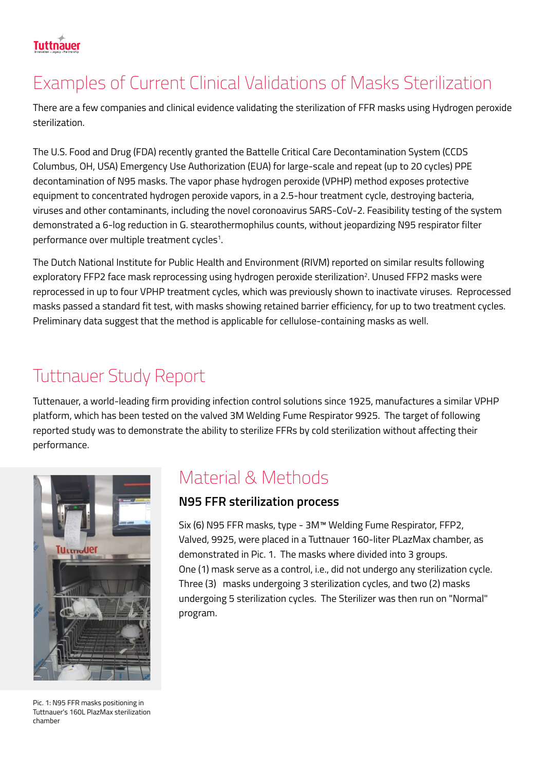# Examples of Current Clinical Validations of Masks Sterilization

There are a few companies and clinical evidence validating the sterilization of FFR masks using Hydrogen peroxide sterilization.

The U.S. Food and Drug (FDA) recently granted the Battelle Critical Care Decontamination System (CCDS Columbus, OH, USA) Emergency Use Authorization (EUA) for large-scale and repeat (up to 20 cycles) PPE decontamination of N95 masks. The vapor phase hydrogen peroxide (VPHP) method exposes protective equipment to concentrated hydrogen peroxide vapors, in a 2.5-hour treatment cycle, destroying bacteria, viruses and other contaminants, including the novel coronoavirus SARS-CoV-2. Feasibility testing of the system demonstrated a 6-log reduction in G. stearothermophilus counts, without jeopardizing N95 respirator filter performance over multiple treatment cycles<sup>1</sup>.

The Dutch National Institute for Public Health and Environment (RIVM) reported on similar results following exploratory FFP2 face mask reprocessing using hydrogen peroxide sterilization<sup>2</sup>. Unused FFP2 masks were reprocessed in up to four VPHP treatment cycles, which was previously shown to inactivate viruses. Reprocessed masks passed a standard fit test, with masks showing retained barrier efficiency, for up to two treatment cycles. Preliminary data suggest that the method is applicable for cellulose-containing masks as well.

# Tuttnauer Study Report

Tuttenauer, a world-leading firm providing infection control solutions since 1925, manufactures a similar VPHP platform, which has been tested on the valved 3M Welding Fume Respirator 9925. The target of following reported study was to demonstrate the ability to sterilize FFRs by cold sterilization without affecting their .performance



Pic. 1: N95 FFR masks positioning in Tuttnauer's 160L PlazMax sterilization chamber

#### Material & Methods

#### **N95 FFR sterilization process**

Six (6) N95 FFR masks, type - 3M<sup>™</sup> Welding Fume Respirator, FFP2, Valved, 9925, were placed in a Tuttnauer 160-liter PLazMax chamber, as demonstrated in Pic. 1. The masks where divided into 3 groups. One (1) mask serve as a control, i.e., did not undergo any sterilization cycle. Three (3) masks undergoing 3 sterilization cycles, and two (2) masks undergoing 5 sterilization cycles. The Sterilizer was then run on "Normal" .program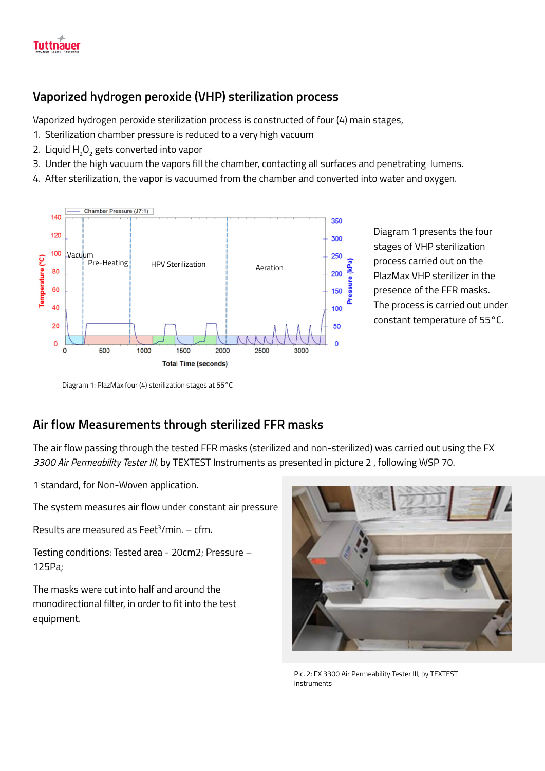

#### Vaporized hydrogen peroxide (VHP) sterilization process

Vaporized hydrogen peroxide sterilization process is constructed of four (4) main stages,

- 1. Sterilization chamber pressure is reduced to a very high vacuum
- 2. Liquid  $H_2O_2$  gets converted into vapor
- 3. Under the high vacuum the vapors fill the chamber, contacting all surfaces and penetrating lumens.
- 4. After sterilization, the vapor is vacuumed from the chamber and converted into water and oxygen.



Diagram 1 presents the four stages of VHP sterilization process carried out on the PlazMax VHP sterilizer in the presence of the FFR masks. The process is carried out under constant temperature of 55°C.

Diagram 1: PlazMax four (4) sterilization stages at 55°C

#### **Air flow Measurements through sterilized FFR masks**

The air flow passing through the tested FFR masks (sterilized and non-sterilized) was carried out using the FX 3300 Air Permeability Tester III, by TEXTEST Instruments as presented in picture 2, following WSP 70.

1 standard, for Non-Woven application.

The system measures air flow under constant air pressure

Results are measured as Feet<sup>3</sup>/min. – cfm.

Testing conditions: Tested area - 20cm2; Pressure -125Pa:

The masks were cut into half and around the monodirectional filter, in order to fit into the test .equipment



Pic. 2: FX 3300 Air Permeability Tester III, by TEXTEST Instruments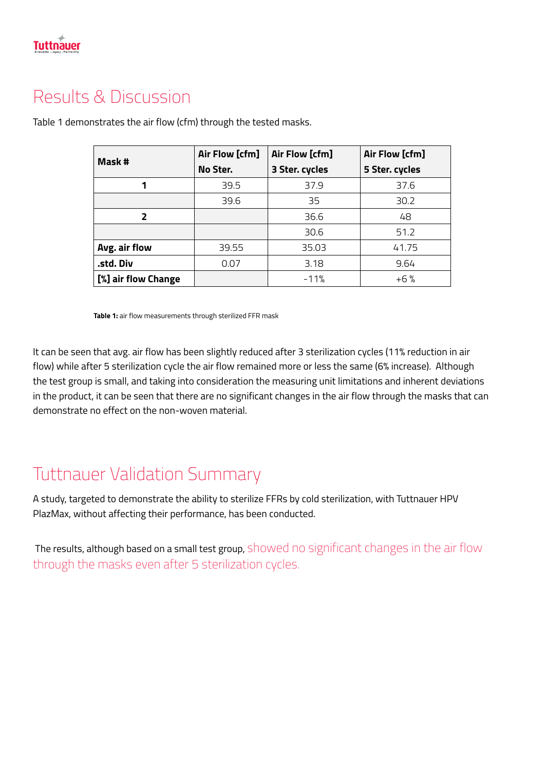

### Results & Discussion

| Mask #              | Air Flow [cfm]<br>No Ster. | Air Flow [cfm]<br>3 Ster. cycles | Air Flow [cfm]<br>5 Ster. cycles |
|---------------------|----------------------------|----------------------------------|----------------------------------|
| 1                   | 39.5                       | 37.9                             | 37.6                             |
|                     | 39.6                       | 35                               | 30.2                             |
| $\overline{2}$      |                            | 36.6                             | 48                               |
|                     |                            | 30.6                             | 51.2                             |
| Avg. air flow       | 39.55                      | 35.03                            | 41.75                            |
| .std. Div           | 0.07                       | 3.18                             | 9.64                             |
| [%] air flow Change |                            | $-11%$                           | $+6%$                            |

Table 1 demonstrates the air flow (cfm) through the tested masks.

Table 1: air flow measurements through sterilized FFR mask

It can be seen that avg. air flow has been slightly reduced after 3 sterilization cycles (11% reduction in air flow) while after 5 sterilization cycle the air flow remained more or less the same (6% increase). Although the test group is small, and taking into consideration the measuring unit limitations and inherent deviations in the product, it can be seen that there are no significant changes in the air flow through the masks that can demonstrate no effect on the non-woven material.

### **Tuttnauer Validation Summary**

A study, targeted to demonstrate the ability to sterilize FFRs by cold sterilization, with Tuttnauer HPV PlazMax, without affecting their performance, has been conducted.

The results, although based on a small test group, showed no significant changes in the air flow through the masks even after 5 sterilization cycles.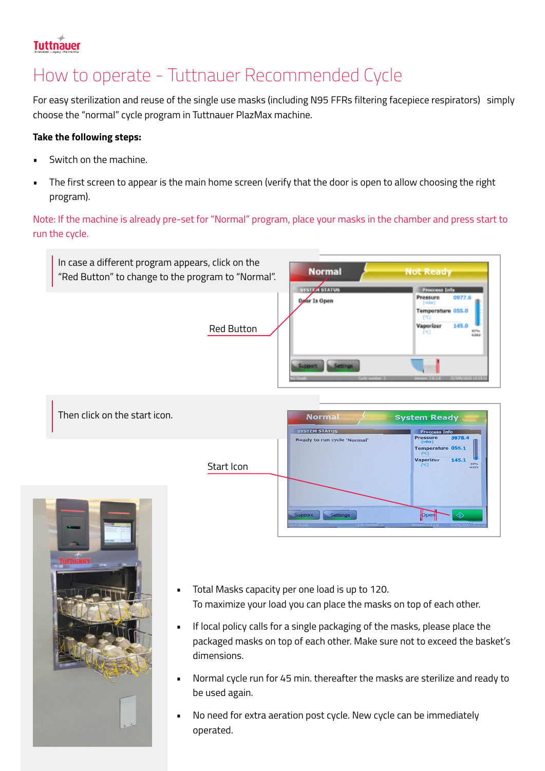### **Tuttnauer**

# How to operate - Tuttnauer Recommended Cycle

For easy sterilization and reuse of the single use masks (including N95 FFRs filtering facepiece respirators) simply choose the "normal" cycle program in Tuttnauer PlazMax machine.

#### **Take the following steps:**

- Switch on the machine.
- The first screen to appear is the main home screen (verify that the door is open to allow choosing the right program).

Note: If the machine is already pre-set for "Normal" program, place your masks in the chamber and press start to run the cycle.







- Total Masks capacity per one load is up to 120. To maximize your load you can place the masks on top of each other.
- If local policy calls for a single packaging of the masks, please place the packaged masks on top of each other. Make sure not to exceed the basket's .dimensions
- Normal cycle run for 45 min. thereafter the masks are sterilize and ready to be used again.
- immediately be can ceration post cycle. New cycle can be immediately .operated